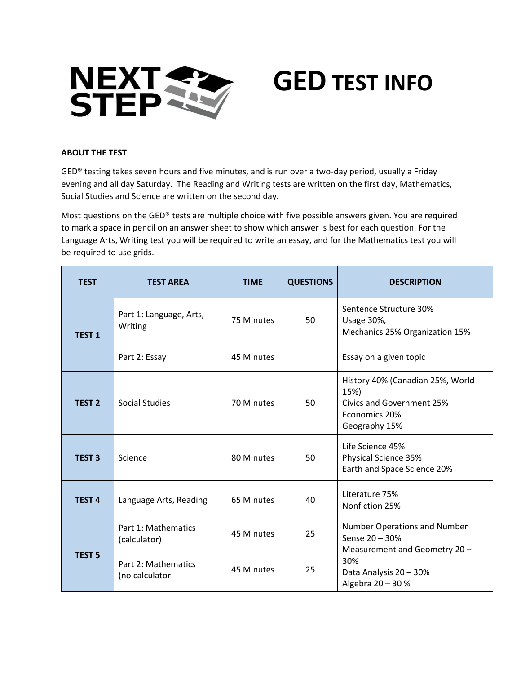

# **GED TEST INFO**

### **ABOUT THE TEST**

GED® testing takes seven hours and five minutes, and is run over a two-day period, usually a Friday evening and all day Saturday. The Reading and Writing tests are written on the first day, Mathematics, Social Studies and Science are written on the second day.

Most questions on the GED® tests are multiple choice with five possible answers given. You are required to mark a space in pencil on an answer sheet to show which answer is best for each question. For the Language Arts, Writing test you will be required to write an essay, and for the Mathematics test you will be required to use grids.

| <b>TEST</b>   | <b>TEST AREA</b>                      | <b>TIME</b> | <b>QUESTIONS</b> | <b>DESCRIPTION</b>                                                                                                                    |
|---------------|---------------------------------------|-------------|------------------|---------------------------------------------------------------------------------------------------------------------------------------|
| <b>TEST 1</b> | Part 1: Language, Arts,<br>Writing    | 75 Minutes  | 50               | Sentence Structure 30%<br>Usage 30%,<br>Mechanics 25% Organization 15%                                                                |
|               | Part 2: Essay                         | 45 Minutes  |                  | Essay on a given topic                                                                                                                |
| <b>TEST 2</b> | Social Studies                        | 70 Minutes  | 50               | History 40% (Canadian 25%, World<br>15%)<br><b>Civics and Government 25%</b><br>Economics 20%<br>Geography 15%                        |
| <b>TEST 3</b> | Science                               | 80 Minutes  | 50               | Life Science 45%<br>Physical Science 35%<br>Earth and Space Science 20%                                                               |
| <b>TEST 4</b> | Language Arts, Reading                | 65 Minutes  | 40               | Literature 75%<br>Nonfiction 25%                                                                                                      |
| <b>TEST 5</b> | Part 1: Mathematics<br>(calculator)   | 45 Minutes  | 25               | Number Operations and Number<br>Sense 20 - 30%<br>Measurement and Geometry 20 -<br>30%<br>Data Analysis 20 - 30%<br>Algebra 20 - 30 % |
|               | Part 2: Mathematics<br>(no calculator | 45 Minutes  | 25               |                                                                                                                                       |